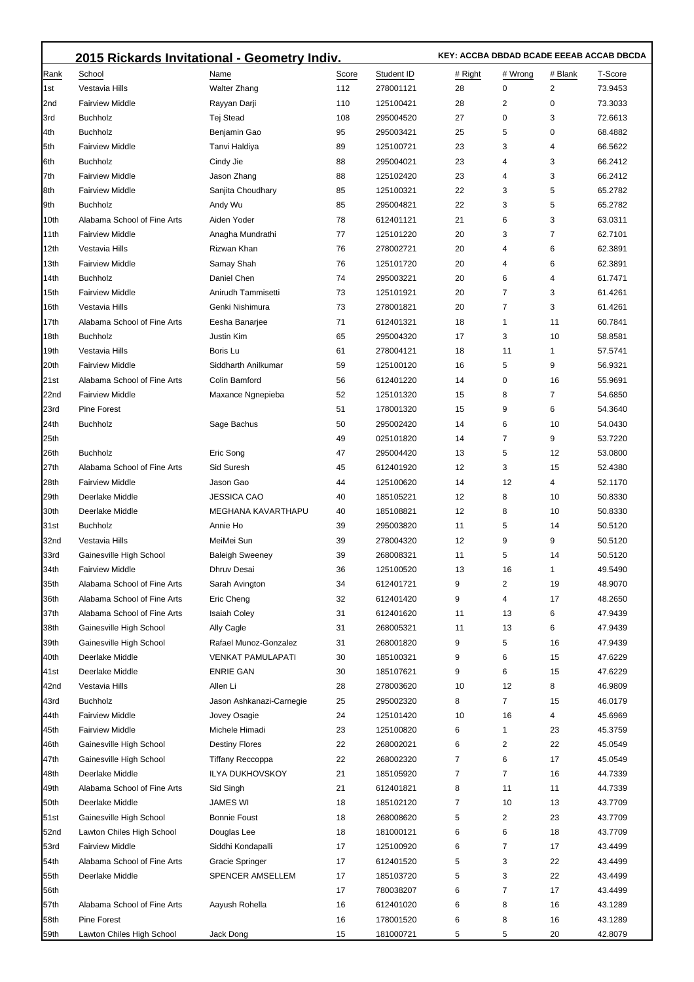|              | 2015 Rickards Invitational - Geometry Indiv. |                              | KEY: ACCBA DBDAD BCADE EEEAB ACCAB DBCDA |                        |         |         |         |                    |
|--------------|----------------------------------------------|------------------------------|------------------------------------------|------------------------|---------|---------|---------|--------------------|
| Rank         | School                                       | Name                         | Score                                    | Student ID             | # Right | # Wrong | # Blank | T-Score            |
| 1st          | Vestavia Hills                               | <b>Walter Zhang</b>          | 112                                      | 278001121              | 28      | 0       | 2       | 73.9453            |
| 2nd          | <b>Fairview Middle</b>                       | Rayyan Darji                 | 110                                      | 125100421              | 28      | 2       | 0       | 73.3033            |
| 3rd          | <b>Buchholz</b>                              | Tej Stead                    | 108                                      | 295004520              | 27      | 0       | 3       | 72.6613            |
| 4th          | <b>Buchholz</b>                              | Benjamin Gao                 | 95                                       | 295003421              | 25      | 5       | 0       | 68.4882            |
| 5th          | <b>Fairview Middle</b>                       | Tanvi Haldiya                | 89                                       | 125100721              | 23      | 3       | 4       | 66.5622            |
| 6th          | <b>Buchholz</b>                              | Cindy Jie                    | 88                                       | 295004021              | 23      | 4       | 3       | 66.2412            |
| 7th          | <b>Fairview Middle</b>                       | Jason Zhang                  | 88                                       | 125102420              | 23      | 4       | 3       | 66.2412            |
| 8th          | <b>Fairview Middle</b>                       | Sanjita Choudhary            | 85                                       | 125100321              | 22      | 3       | 5       | 65.2782            |
| 9th          | <b>Buchholz</b>                              | Andy Wu                      | 85                                       | 295004821              | 22      | 3       | 5       | 65.2782            |
| 10th         | Alabama School of Fine Arts                  | Aiden Yoder                  | 78                                       | 612401121              | 21      | 6       | 3       | 63.0311            |
| 11th         | <b>Fairview Middle</b>                       | Anagha Mundrathi             | 77                                       | 125101220              | 20      | 3       | 7       | 62.7101            |
| 12th         | Vestavia Hills                               | Rizwan Khan                  | 76                                       | 278002721              | 20      | 4       | 6       | 62.3891            |
| 13th         | <b>Fairview Middle</b>                       | Samay Shah                   | 76                                       | 125101720              | 20      | 4       | 6       | 62.3891            |
| 14th         | <b>Buchholz</b>                              | Daniel Chen                  | 74                                       | 295003221              | 20      | 6       | 4       | 61.7471            |
| 15th         | <b>Fairview Middle</b>                       | Anirudh Tammisetti           | 73                                       | 125101921              | 20      | 7       | 3       | 61.4261            |
| 16th         | Vestavia Hills                               | Genki Nishimura              | 73                                       | 278001821              | 20      | 7       | 3       | 61.4261            |
| 17th         | Alabama School of Fine Arts                  | Eesha Banarjee               | 71                                       | 612401321              | 18      | 1       | 11      | 60.7841            |
| 18th         | <b>Buchholz</b>                              | Justin Kim                   | 65                                       | 295004320              | 17      | 3       | 10      | 58.8581            |
| 19th         | Vestavia Hills                               | Boris Lu                     | 61                                       | 278004121              | 18      | 11      | 1       | 57.5741            |
| 20th         | <b>Fairview Middle</b>                       | Siddharth Anilkumar          | 59                                       | 125100120              | 16      | 5       | 9       | 56.9321            |
| 21st         | Alabama School of Fine Arts                  | Colin Bamford                | 56                                       | 612401220              | 14      | 0       | 16      | 55.9691            |
| 22nd         | <b>Fairview Middle</b>                       | Maxance Ngnepieba            | 52                                       | 125101320              | 15      | 8       | 7       | 54.6850            |
| 23rd         | <b>Pine Forest</b>                           |                              | 51                                       | 178001320              | 15      | 9       | 6       | 54.3640            |
| 24th         | <b>Buchholz</b>                              | Sage Bachus                  | 50                                       | 295002420              | 14      | 6       | 10      | 54.0430            |
| 25th         |                                              |                              | 49                                       | 025101820              | 14      | 7       | 9       | 53.7220            |
| 26th         | <b>Buchholz</b>                              | Eric Song                    | 47                                       | 295004420              | 13      | 5       | 12      | 53.0800            |
| 27th         | Alabama School of Fine Arts                  | Sid Suresh                   | 45                                       | 612401920              | 12      | 3       | 15      | 52.4380            |
| 28th         | <b>Fairview Middle</b>                       | Jason Gao                    | 44                                       | 125100620              | 14      | 12      | 4       | 52.1170            |
| 29th         | Deerlake Middle                              | <b>JESSICA CAO</b>           | 40                                       | 185105221              | 12      | 8       | 10      | 50.8330            |
| 30th         | Deerlake Middle                              | <b>MEGHANA KAVARTHAPU</b>    | 40                                       | 185108821              | 12      | 8       | 10      | 50.8330            |
| 31st         | <b>Buchholz</b>                              | Annie Ho                     | 39                                       | 295003820              | 11      | 5       | 14      | 50.5120            |
| 32nd         | Vestavia Hills                               | MeiMei Sun                   | 39                                       | 278004320              | 12      | 9       | 9       | 50.5120            |
| 33rd         | Gainesville High School                      | <b>Baleigh Sweeney</b>       | 39                                       | 268008321              | 11      | 5       | 14      | 50.5120            |
| 34th         | <b>Fairview Middle</b>                       | Dhruv Desai                  | 36                                       | 125100520              | 13      | 16      |         | 49.5490            |
| 35th         | Alabama School of Fine Arts                  | Sarah Avington               | 34                                       | 612401721              | 9       | 2       | 19      | 48.9070            |
| 36th         | Alabama School of Fine Arts                  | Eric Cheng                   | 32                                       | 612401420              | 9       | 4       | 17      | 48.2650            |
| 37th         | Alabama School of Fine Arts                  | <b>Isaiah Coley</b>          | 31                                       | 612401620              | 11      | 13      | 6       | 47.9439            |
| 38th         | Gainesville High School                      | Ally Cagle                   | 31                                       | 268005321              | 11      | 13      | 6       | 47.9439            |
| 39th         | Gainesville High School                      | Rafael Munoz-Gonzalez        | 31                                       | 268001820              | 9       | 5       | 16      | 47.9439            |
| 40th         | Deerlake Middle                              | <b>VENKAT PAMULAPATI</b>     | 30                                       | 185100321              | 9       | 6       | 15      | 47.6229            |
| 41st<br>42nd | Deerlake Middle<br>Vestavia Hills            | <b>ENRIE GAN</b><br>Allen Li | 30<br>28                                 | 185107621<br>278003620 | 9<br>10 | 6<br>12 | 15<br>8 | 47.6229<br>46.9809 |
| 43rd         | <b>Buchholz</b>                              | Jason Ashkanazi-Carnegie     | 25                                       | 295002320              | 8       | 7       | 15      | 46.0179            |
| 44th         | <b>Fairview Middle</b>                       | Jovey Osagie                 | 24                                       | 125101420              | 10      | 16      | 4       | 45.6969            |
| 45th         | <b>Fairview Middle</b>                       | Michele Himadi               | 23                                       | 125100820              | 6       | 1       | 23      | 45.3759            |
| 46th         | Gainesville High School                      | <b>Destiny Flores</b>        | 22                                       | 268002021              | 6       | 2       | 22      | 45.0549            |
| 47th         | Gainesville High School                      | <b>Tiffany Reccoppa</b>      | 22                                       | 268002320              | 7       | 6       | 17      | 45.0549            |
| 48th         | Deerlake Middle                              | <b>ILYA DUKHOVSKOY</b>       | 21                                       | 185105920              | 7       | 7       | 16      | 44.7339            |
| 49th         | Alabama School of Fine Arts                  | Sid Singh                    | 21                                       | 612401821              | 8       | 11      | 11      | 44.7339            |
| 50th         | Deerlake Middle                              | JAMES WI                     | 18                                       | 185102120              | 7       | 10      | 13      | 43.7709            |
| 51st         | Gainesville High School                      | <b>Bonnie Foust</b>          | 18                                       | 268008620              | 5       | 2       | 23      | 43.7709            |
| 52nd         | Lawton Chiles High School                    | Douglas Lee                  | 18                                       | 181000121              | 6       | 6       | 18      | 43.7709            |
| 53rd         | <b>Fairview Middle</b>                       | Siddhi Kondapalli            | 17                                       | 125100920              | 6       | 7       | 17      | 43.4499            |
| 54th         | Alabama School of Fine Arts                  | <b>Gracie Springer</b>       | 17                                       | 612401520              | 5       | 3       | 22      | 43.4499            |
| 55th         | Deerlake Middle                              | SPENCER AMSELLEM             | 17                                       | 185103720              | 5       | 3       | 22      | 43.4499            |
| 56th         |                                              |                              | 17                                       | 780038207              | 6       | 7       | 17      | 43.4499            |
| 57th         | Alabama School of Fine Arts                  | Aayush Rohella               | 16                                       | 612401020              | 6       | 8       | 16      | 43.1289            |
| 58th         | Pine Forest                                  |                              | 16                                       | 178001520              | 6       | 8       | 16      | 43.1289            |
| <b>59th</b>  | Lawton Chiles High School                    | Jack Dong                    | 15                                       | 181000721              | 5       | 5       | 20      | 42.8079            |